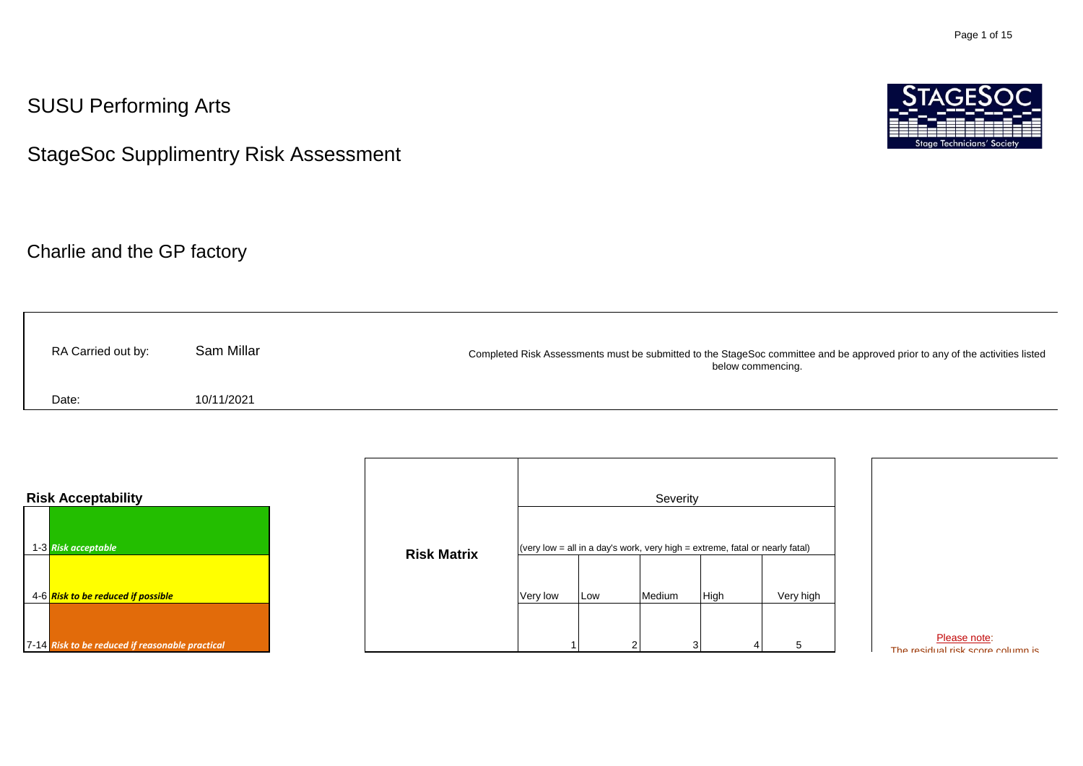## SUSU Performing Arts

StageSoc Supplimentry Risk Assessment

Charlie and the GP factory

| RA Carried out by: | Sam Millar | Completed Risk Assessments must be submitted to the StageSoc committee and be approved prior to any of the activities listed<br>below commencing. |
|--------------------|------------|---------------------------------------------------------------------------------------------------------------------------------------------------|
| Date:              | 10/11/2021 |                                                                                                                                                   |

| <b>Risk Acceptability</b>                                              |                    |          |          | Severity |                                                                                          |           |
|------------------------------------------------------------------------|--------------------|----------|----------|----------|------------------------------------------------------------------------------------------|-----------|
| 1-3 Risk acceptable<br>4-6 <mark>Risk to be reduced if possible</mark> | <b>Risk Matrix</b> | Very low | Low      | Medium   | (very low $=$ all in a day's work, very high $=$ extreme, fatal or nearly fatal)<br>High | Very high |
| 7-14 Risk to be reduced if reasonable practical                        |                    |          | $\Omega$ | 3        |                                                                                          | 5         |

Please note: The residual risk score column is

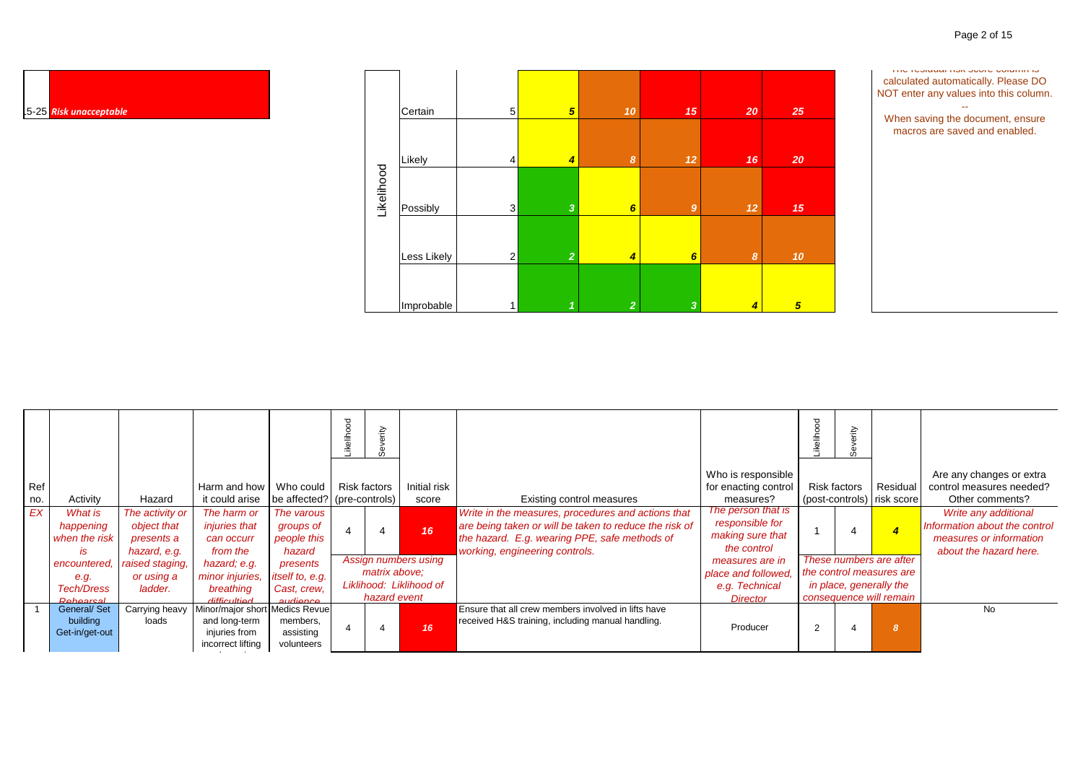

|     |                    |                 |                                |                             | ष्ठ<br>c<br>흚 | È                   |                         |                                                            |                      |                | È            |                            |                               |
|-----|--------------------|-----------------|--------------------------------|-----------------------------|---------------|---------------------|-------------------------|------------------------------------------------------------|----------------------|----------------|--------------|----------------------------|-------------------------------|
|     |                    |                 |                                |                             |               |                     |                         |                                                            | Who is responsible   |                |              |                            | Are any changes or extra      |
| Ref |                    |                 | Harm and how                   | Who could                   |               | <b>Risk factors</b> | Initial risk            |                                                            | for enacting control |                | Risk factors | Residual                   | control measures needed?      |
| no. | Activity           | Hazard          | it could arise                 | be affected? (pre-controls) |               |                     | score                   | Existing control measures                                  | measures?            |                |              | (post-controls) risk score | Other comments?               |
| EX  | What is            | The activity or | The harm or                    | The varous                  |               |                     |                         | Write in the measures, procedures and actions that         | The person that is   |                |              |                            | Write any additional          |
|     | happening          | object that     | <i>injuries that</i>           | groups of                   |               |                     | 16                      | are being taken or will be taken to reduce the risk of     | responsible for      |                |              | $\overline{4}$             | Information about the control |
|     | when the risk      | presents a      | can occurr                     | people this                 |               |                     |                         | the hazard. E.g. wearing PPE, safe methods of              | making sure that     |                |              |                            | measures or information       |
|     | is                 | hazard, e.g.    | from the                       | hazard                      |               |                     |                         | working, engineering controls.                             | the control          |                |              |                            | about the hazard here.        |
|     | encountered.       | raised staging, | hazard; e.g.                   | presents                    |               |                     | Assign numbers using    |                                                            | measures are in      |                |              | These numbers are after    |                               |
|     | e.g.               | or using a      | minor injuries.                | itself to, e.g.             |               | matrix above;       |                         |                                                            | place and followed.  |                |              | the control measures are   |                               |
|     | <b>Tech/Dress</b>  | ladder.         | breathing                      | Cast. crew.                 |               |                     | Liklihood: Liklihood of |                                                            | e.g. Technical       |                |              | in place, generally the    |                               |
|     | Rohoareal          |                 | difficultiod                   | <u>audience</u>             |               | hazard event        |                         |                                                            | <b>Director</b>      |                |              | consequence will remain    |                               |
|     | <b>General/Set</b> | Carrying heavy  | Minor/major short Medics Revue |                             |               |                     |                         | <b>Ensure that all crew members involved in lifts have</b> |                      |                |              |                            | <b>No</b>                     |
|     | building           | loads           | and long-term                  | members,                    |               |                     | 16                      | received H&S training, including manual handling.          | Producer             | $\overline{2}$ |              | ' 8                        |                               |
|     | Get-in/get-out     |                 | injuries from                  | assisting                   |               |                     |                         |                                                            |                      |                |              |                            |                               |
|     |                    |                 | incorrect lifting              | volunteers                  |               |                     |                         |                                                            |                      |                |              |                            |                               |

and carrying

┯

┯

 $\blacksquare$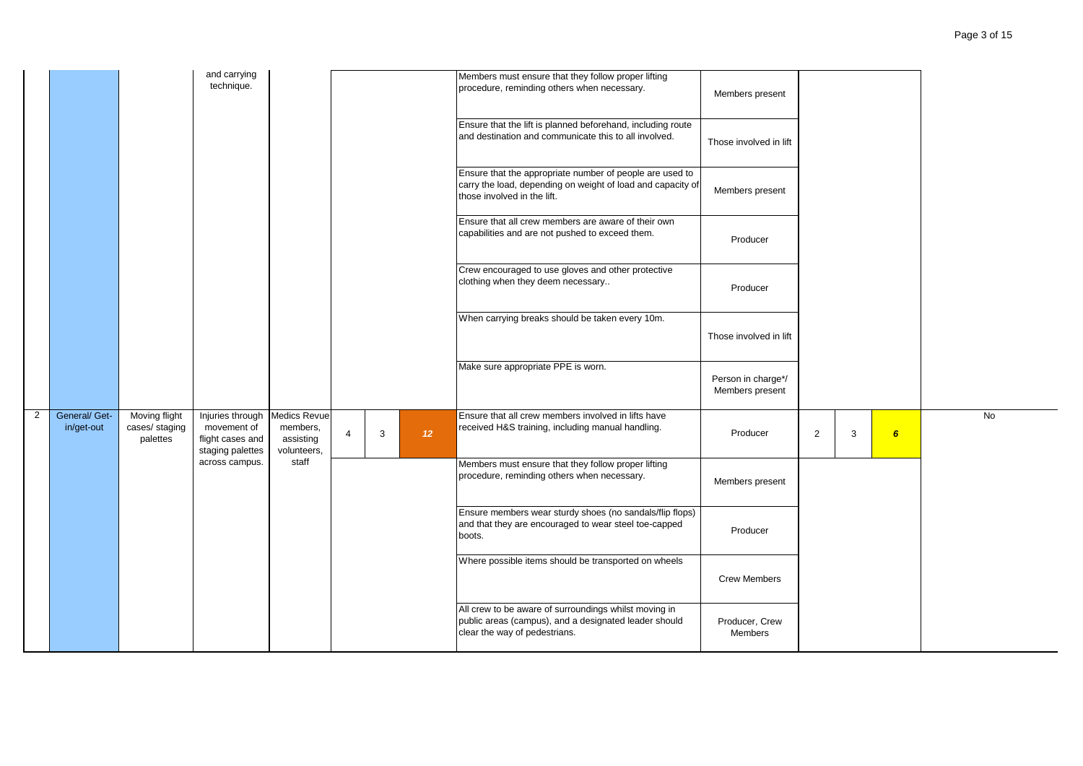|   |                             |                                             | and carrying<br>technique.                                              |                                                      |                |   |                 | Members must ensure that they follow proper lifting<br>procedure, reminding others when necessary.                                                     | Members present                       |                |   |                 |           |  |
|---|-----------------------------|---------------------------------------------|-------------------------------------------------------------------------|------------------------------------------------------|----------------|---|-----------------|--------------------------------------------------------------------------------------------------------------------------------------------------------|---------------------------------------|----------------|---|-----------------|-----------|--|
|   |                             |                                             |                                                                         |                                                      |                |   |                 | Ensure that the lift is planned beforehand, including route<br>and destination and communicate this to all involved.                                   | Those involved in lift                |                |   |                 |           |  |
|   |                             |                                             |                                                                         |                                                      |                |   |                 | Ensure that the appropriate number of people are used to<br>carry the load, depending on weight of load and capacity of<br>those involved in the lift. | Members present                       |                |   |                 |           |  |
|   |                             |                                             |                                                                         |                                                      |                |   |                 | Ensure that all crew members are aware of their own<br>capabilities and are not pushed to exceed them.                                                 | Producer                              |                |   |                 |           |  |
|   |                             |                                             |                                                                         |                                                      |                |   |                 | Crew encouraged to use gloves and other protective<br>clothing when they deem necessary                                                                | Producer                              |                |   |                 |           |  |
|   |                             |                                             |                                                                         |                                                      |                |   |                 | When carrying breaks should be taken every 10m.                                                                                                        | Those involved in lift                |                |   |                 |           |  |
|   |                             |                                             |                                                                         |                                                      |                |   |                 | Make sure appropriate PPE is worn.                                                                                                                     | Person in charge*/<br>Members present |                |   |                 |           |  |
| 2 | General/ Get-<br>in/get-out | Moving flight<br>cases/ staging<br>palettes | Injuries through<br>movement of<br>flight cases and<br>staging palettes | Medics Revue<br>members,<br>assisting<br>volunteers, | $\overline{4}$ | 3 | 12 <sup>°</sup> | Ensure that all crew members involved in lifts have<br>received H&S training, including manual handling.                                               | Producer                              | $\overline{2}$ | 3 | $6\overline{6}$ | <b>No</b> |  |
|   |                             |                                             | across campus.                                                          | staff                                                |                |   |                 | Members must ensure that they follow proper lifting<br>procedure, reminding others when necessary.                                                     | Members present                       |                |   |                 |           |  |
|   |                             |                                             |                                                                         |                                                      |                |   |                 | Ensure members wear sturdy shoes (no sandals/flip flops)<br>and that they are encouraged to wear steel toe-capped<br>boots.                            | Producer                              |                |   |                 |           |  |
|   |                             |                                             |                                                                         |                                                      |                |   |                 | Where possible items should be transported on wheels                                                                                                   | <b>Crew Members</b>                   |                |   |                 |           |  |
|   |                             |                                             |                                                                         |                                                      |                |   |                 | All crew to be aware of surroundings whilst moving in<br>public areas (campus), and a designated leader should<br>clear the way of pedestrians.        | Producer, Crew<br>Members             |                |   |                 |           |  |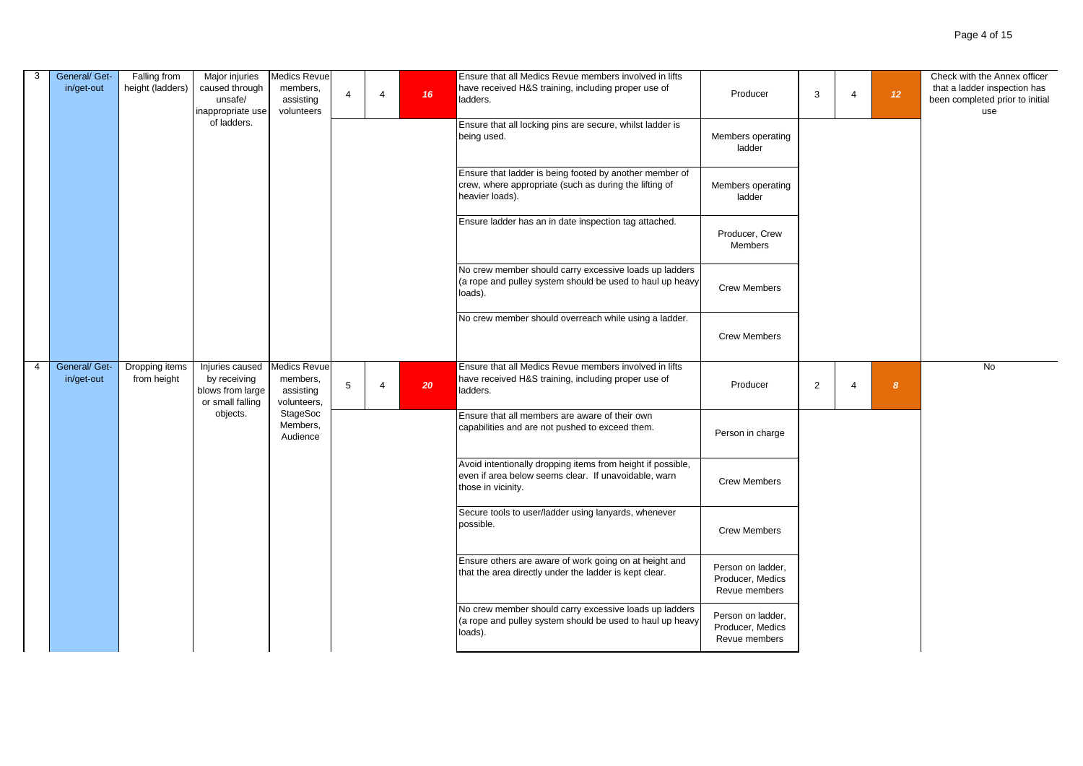| 3              | General/ Get-<br>in/get-out | Falling from<br>height (ladders) | Major injuries<br>caused through<br>unsafe/<br>inappropriate use<br>of ladders. | Medics Revue<br>members,<br>assisting<br>volunteers         | $\overline{4}$ | $\overline{4}$ | 16 | Ensure that all Medics Revue members involved in lifts<br>have received H&S training, including proper use of<br>ladders.<br>Ensure that all locking pins are secure, whilst ladder is | Producer                                               | 3              | $\overline{4}$ | 12               | Check with the Annex officer<br>that a ladder inspection has<br>been completed prior to initial<br>use |
|----------------|-----------------------------|----------------------------------|---------------------------------------------------------------------------------|-------------------------------------------------------------|----------------|----------------|----|----------------------------------------------------------------------------------------------------------------------------------------------------------------------------------------|--------------------------------------------------------|----------------|----------------|------------------|--------------------------------------------------------------------------------------------------------|
|                |                             |                                  |                                                                                 |                                                             |                |                |    | being used.                                                                                                                                                                            | Members operating<br>ladder                            |                |                |                  |                                                                                                        |
|                |                             |                                  |                                                                                 |                                                             |                |                |    | Ensure that ladder is being footed by another member of<br>crew, where appropriate (such as during the lifting of<br>heavier loads).                                                   | Members operating<br>ladder                            |                |                |                  |                                                                                                        |
|                |                             |                                  |                                                                                 |                                                             |                |                |    | Ensure ladder has an in date inspection tag attached.                                                                                                                                  | Producer, Crew<br>Members                              |                |                |                  |                                                                                                        |
|                |                             |                                  |                                                                                 |                                                             |                |                |    | No crew member should carry excessive loads up ladders<br>(a rope and pulley system should be used to haul up heavy<br>loads).                                                         | <b>Crew Members</b>                                    |                |                |                  |                                                                                                        |
|                |                             |                                  |                                                                                 |                                                             |                |                |    | No crew member should overreach while using a ladder.                                                                                                                                  | <b>Crew Members</b>                                    |                |                |                  |                                                                                                        |
| $\overline{4}$ | General/ Get-<br>in/get-out | Dropping items<br>from height    | Injuries caused<br>by receiving<br>blows from large<br>or small falling         | <b>Medics Revue</b><br>members,<br>assisting<br>volunteers, | $\overline{5}$ | $\overline{4}$ | 20 | Ensure that all Medics Revue members involved in lifts<br>have received H&S training, including proper use of<br>ladders.                                                              | Producer                                               | $\overline{2}$ | $\overline{4}$ | $\boldsymbol{8}$ | <b>No</b>                                                                                              |
|                |                             |                                  | objects.                                                                        | StageSoc<br>Members,<br>Audience                            |                |                |    | Ensure that all members are aware of their own<br>capabilities and are not pushed to exceed them.                                                                                      | Person in charge                                       |                |                |                  |                                                                                                        |
|                |                             |                                  |                                                                                 |                                                             |                |                |    | Avoid intentionally dropping items from height if possible,<br>even if area below seems clear. If unavoidable, warn<br>those in vicinity.                                              | <b>Crew Members</b>                                    |                |                |                  |                                                                                                        |
|                |                             |                                  |                                                                                 |                                                             |                |                |    | Secure tools to user/ladder using lanyards, whenever<br>possible.                                                                                                                      | <b>Crew Members</b>                                    |                |                |                  |                                                                                                        |
|                |                             |                                  |                                                                                 |                                                             |                |                |    | Ensure others are aware of work going on at height and<br>that the area directly under the ladder is kept clear.                                                                       | Person on ladder,<br>Producer, Medics<br>Revue members |                |                |                  |                                                                                                        |
|                |                             |                                  |                                                                                 |                                                             |                |                |    | No crew member should carry excessive loads up ladders<br>(a rope and pulley system should be used to haul up heavy<br>loads).                                                         | Person on ladder,<br>Producer, Medics<br>Revue members |                |                |                  |                                                                                                        |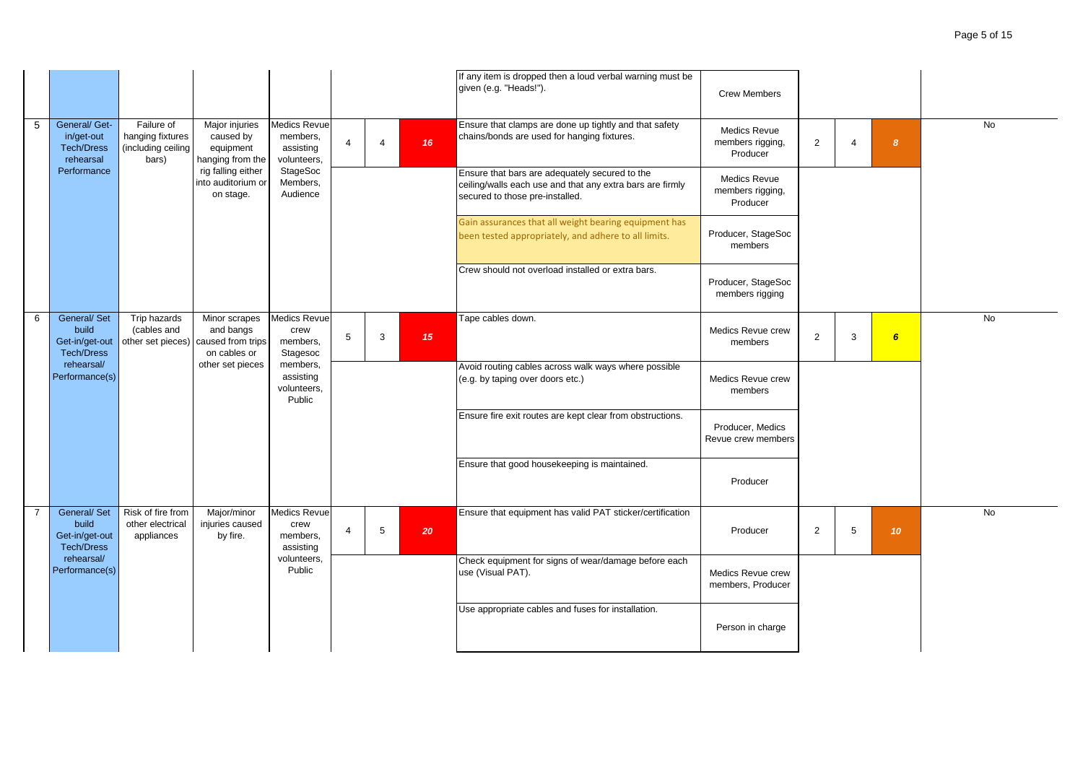|                |                                                                    |                                                               |                                                                 |                                                             |                |                       |                  | If any item is dropped then a loud verbal warning must be<br>given (e.g. "Heads!").                                                            | <b>Crew Members</b>                                 |                |                |                 |           |
|----------------|--------------------------------------------------------------------|---------------------------------------------------------------|-----------------------------------------------------------------|-------------------------------------------------------------|----------------|-----------------------|------------------|------------------------------------------------------------------------------------------------------------------------------------------------|-----------------------------------------------------|----------------|----------------|-----------------|-----------|
| 5              | General/ Get-<br>in/get-out<br><b>Tech/Dress</b><br>rehearsal      | Failure of<br>hanging fixtures<br>(including ceiling<br>bars) | Major injuries<br>caused by<br>equipment<br>hanging from the    | <b>Medics Revue</b><br>members,<br>assisting<br>volunteers, | $\overline{4}$ | $\boldsymbol{\Delta}$ | 16 <sup>°</sup>  | Ensure that clamps are done up tightly and that safety<br>chains/bonds are used for hanging fixtures.                                          | Medics Revue<br>members rigging,<br>Producer        | $\overline{2}$ | $\overline{4}$ | 8               | <b>No</b> |
|                | Performance                                                        |                                                               | rig falling either<br>into auditorium or<br>on stage.           | StageSoc<br>Members,<br>Audience                            |                |                       |                  | Ensure that bars are adequately secured to the<br>ceiling/walls each use and that any extra bars are firmly<br>secured to those pre-installed. | <b>Medics Revue</b><br>members rigging,<br>Producer |                |                |                 |           |
|                |                                                                    |                                                               |                                                                 |                                                             |                |                       |                  | Gain assurances that all weight bearing equipment has<br>been tested appropriately, and adhere to all limits.                                  | Producer, StageSoc<br>members                       |                |                |                 |           |
|                |                                                                    |                                                               |                                                                 |                                                             |                |                       |                  | Crew should not overload installed or extra bars.                                                                                              | Producer, StageSoc<br>members rigging               |                |                |                 |           |
| 6              | General/ Set<br>build<br>Get-in/get-out<br><b>Tech/Dress</b>       | Trip hazards<br>(cables and<br>other set pieces)              | Minor scrapes<br>and bangs<br>caused from trips<br>on cables or | <b>Medics Revue</b><br>crew<br>members,<br>Stagesoc         | 5              | 3                     | 15 <sub>15</sub> | Tape cables down.                                                                                                                              | Medics Revue crew<br>members                        | $\overline{2}$ | 3              | $6\overline{6}$ | No        |
|                | rehearsal/<br>Performance(s)                                       |                                                               | other set pieces                                                | members,<br>assisting<br>volunteers,<br>Public              |                |                       |                  | Avoid routing cables across walk ways where possible<br>(e.g. by taping over doors etc.)                                                       | Medics Revue crew<br>members                        |                |                |                 |           |
|                |                                                                    |                                                               |                                                                 |                                                             |                |                       |                  | Ensure fire exit routes are kept clear from obstructions.                                                                                      | Producer, Medics<br>Revue crew members              |                |                |                 |           |
|                |                                                                    |                                                               |                                                                 |                                                             |                |                       |                  | Ensure that good housekeeping is maintained.                                                                                                   | Producer                                            |                |                |                 |           |
| $\overline{7}$ | <b>General/Set</b><br>build<br>Get-in/get-out<br><b>Tech/Dress</b> | Risk of fire from<br>other electrical<br>appliances           | Major/minor<br>injuries caused<br>by fire.                      | Medics Revue<br>crew<br>members,<br>assisting               | $\overline{4}$ | 5                     | 20               | Ensure that equipment has valid PAT sticker/certification                                                                                      | Producer                                            | $\overline{2}$ | 5              | 10 <sup>°</sup> | <b>No</b> |
|                | rehearsal/<br>Performance(s)                                       |                                                               |                                                                 | volunteers,<br>Public                                       |                |                       |                  | Check equipment for signs of wear/damage before each<br>use (Visual PAT).                                                                      | Medics Revue crew<br>members, Producer              |                |                |                 |           |
|                |                                                                    |                                                               |                                                                 |                                                             |                |                       |                  | Use appropriate cables and fuses for installation.                                                                                             | Person in charge                                    |                |                |                 |           |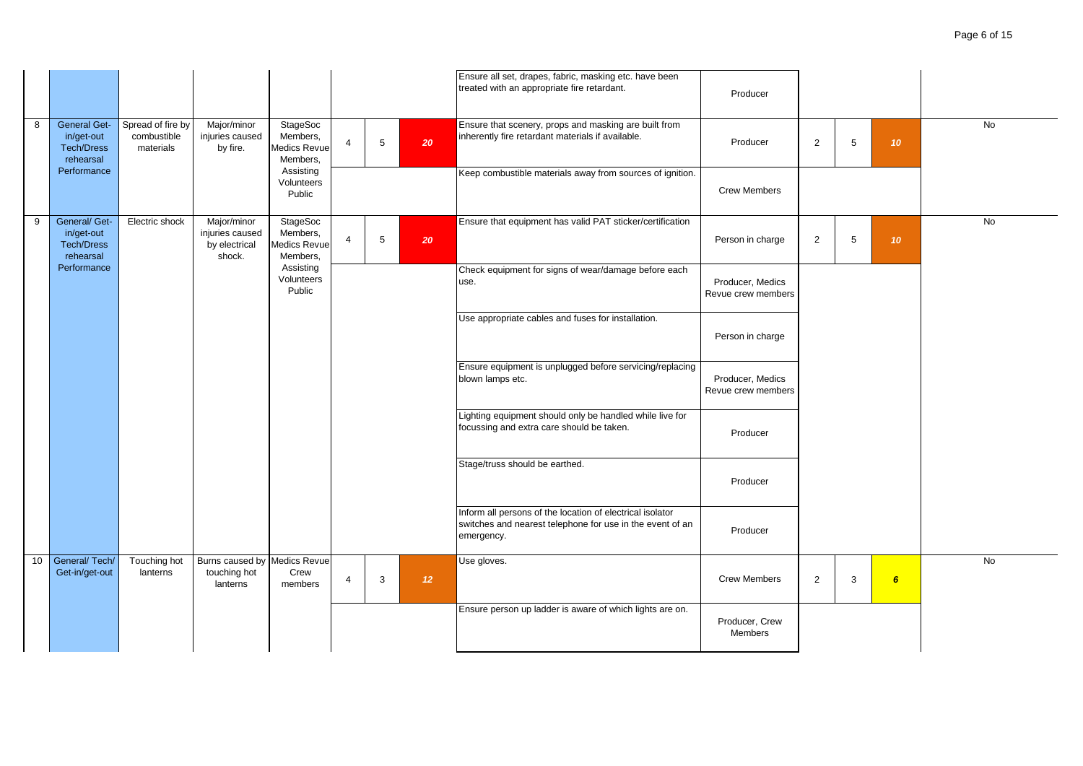|   |                                                                     |                                               |                                                           |                                                         |                |   |                 | Ensure all set, drapes, fabric, masking etc. have been<br>treated with an appropriate fire retardant.                                | Producer                               |                |                |                  |           |
|---|---------------------------------------------------------------------|-----------------------------------------------|-----------------------------------------------------------|---------------------------------------------------------|----------------|---|-----------------|--------------------------------------------------------------------------------------------------------------------------------------|----------------------------------------|----------------|----------------|------------------|-----------|
| 8 | <b>General Get-</b><br>in/get-out<br><b>Tech/Dress</b><br>rehearsal | Spread of fire by<br>combustible<br>materials | Major/minor<br>injuries caused<br>by fire.                | StageSoc<br>Members,<br>Medics Revue<br>Members,        | $\overline{4}$ | 5 | 20              | Ensure that scenery, props and masking are built from<br>inherently fire retardant materials if available.                           | Producer                               | $\overline{2}$ | $5\phantom{1}$ | 10 <sub>10</sub> | No        |
|   | Performance                                                         |                                               |                                                           | Assisting<br>Volunteers<br>Public                       |                |   |                 | Keep combustible materials away from sources of ignition.                                                                            | <b>Crew Members</b>                    |                |                |                  |           |
| 9 | General/ Get-<br>in/get-out<br><b>Tech/Dress</b><br>rehearsal       | Electric shock                                | Major/minor<br>injuries caused<br>by electrical<br>shock. | <b>StageSoc</b><br>Members,<br>Medics Revue<br>Members, | $\overline{4}$ | 5 | 20              | Ensure that equipment has valid PAT sticker/certification                                                                            | Person in charge                       | $\overline{2}$ | 5              | 10 <sup>°</sup>  | No        |
|   | Performance                                                         |                                               |                                                           | Assisting<br>Volunteers<br>Public                       |                |   |                 | Check equipment for signs of wear/damage before each<br>use.                                                                         | Producer, Medics<br>Revue crew members |                |                |                  |           |
|   |                                                                     |                                               |                                                           |                                                         |                |   |                 | Use appropriate cables and fuses for installation.                                                                                   | Person in charge                       |                |                |                  |           |
|   |                                                                     |                                               |                                                           |                                                         |                |   |                 | Ensure equipment is unplugged before servicing/replacing<br>blown lamps etc.                                                         | Producer, Medics<br>Revue crew members |                |                |                  |           |
|   |                                                                     |                                               |                                                           |                                                         |                |   |                 | Lighting equipment should only be handled while live for<br>focussing and extra care should be taken.                                | Producer                               |                |                |                  |           |
|   |                                                                     |                                               |                                                           |                                                         |                |   |                 | Stage/truss should be earthed.                                                                                                       | Producer                               |                |                |                  |           |
|   |                                                                     |                                               |                                                           |                                                         |                |   |                 | Inform all persons of the location of electrical isolator<br>switches and nearest telephone for use in the event of an<br>emergency. | Producer                               |                |                |                  |           |
|   | 10 General/Tech/<br>Get-in/get-out                                  | Touching hot<br>lanterns                      | Burns caused by Medics Revue<br>touching hot<br>lanterns  | Crew<br>members                                         | $\overline{4}$ | 3 | 12 <sup>°</sup> | Use gloves.                                                                                                                          | <b>Crew Members</b>                    | $\overline{2}$ | 3              | $6\overline{6}$  | <b>No</b> |
|   |                                                                     |                                               |                                                           |                                                         |                |   |                 | Ensure person up ladder is aware of which lights are on.                                                                             | Producer, Crew<br>Members              |                |                |                  |           |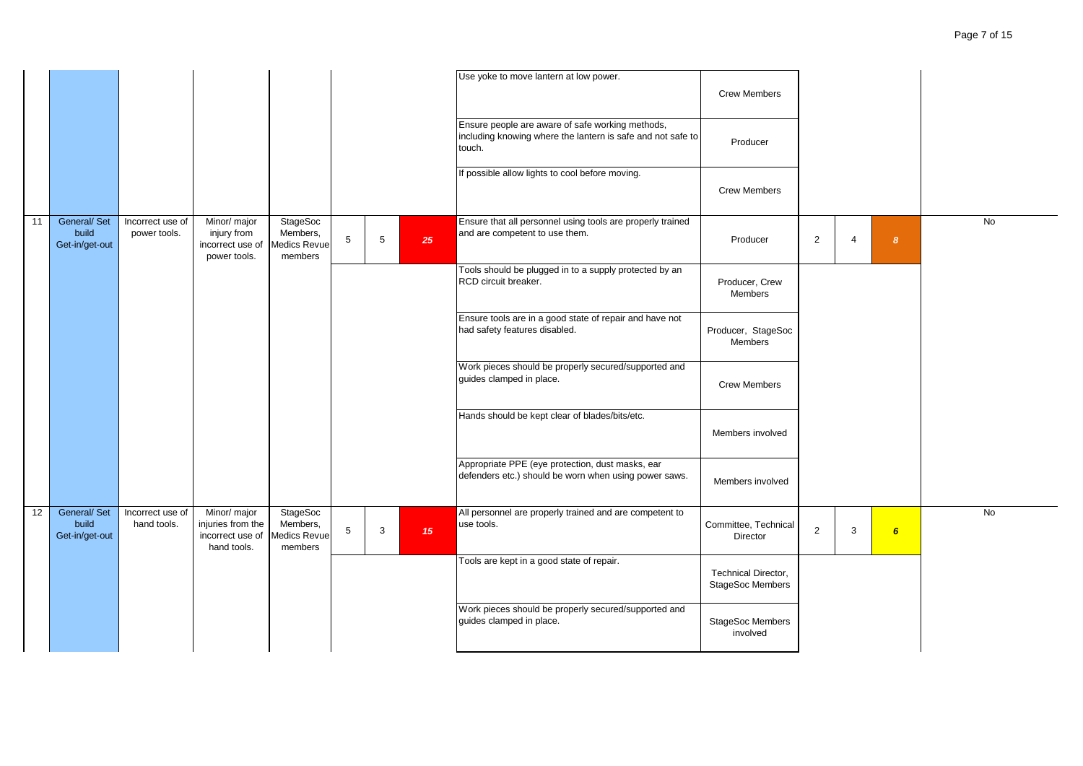|    |                                         |                                  |                                                                      |                                                               |                |                |                  | Use yoke to move lantern at low power.                                                                                    | <b>Crew Members</b>                                   |                |                |                  |           |
|----|-----------------------------------------|----------------------------------|----------------------------------------------------------------------|---------------------------------------------------------------|----------------|----------------|------------------|---------------------------------------------------------------------------------------------------------------------------|-------------------------------------------------------|----------------|----------------|------------------|-----------|
|    |                                         |                                  |                                                                      |                                                               |                |                |                  | Ensure people are aware of safe working methods,<br>including knowing where the lantern is safe and not safe to<br>touch. | Producer                                              |                |                |                  |           |
|    |                                         |                                  |                                                                      |                                                               |                |                |                  | f possible allow lights to cool before moving.                                                                            | <b>Crew Members</b>                                   |                |                |                  |           |
| 11 | General/ Set<br>build<br>Get-in/get-out | Incorrect use of<br>power tools. | Minor/ major<br>injury from<br>incorrect use of<br>power tools.      | <b>StageSoc</b><br>Members,<br><b>Medics Revue</b><br>members | $\overline{5}$ | $5\phantom{1}$ | 25               | Ensure that all personnel using tools are properly trained<br>and are competent to use them.                              | Producer                                              | $\overline{2}$ | $\overline{4}$ | $\boldsymbol{8}$ | <b>No</b> |
|    |                                         |                                  |                                                                      |                                                               |                |                |                  | Tools should be plugged in to a supply protected by an<br>RCD circuit breaker.                                            | Producer, Crew<br>Members                             |                |                |                  |           |
|    |                                         |                                  |                                                                      |                                                               |                |                |                  | Ensure tools are in a good state of repair and have not<br>had safety features disabled.                                  | Producer, StageSoc<br>Members                         |                |                |                  |           |
|    |                                         |                                  |                                                                      |                                                               |                |                |                  | Work pieces should be properly secured/supported and<br>guides clamped in place.                                          | <b>Crew Members</b>                                   |                |                |                  |           |
|    |                                         |                                  |                                                                      |                                                               |                |                |                  | Hands should be kept clear of blades/bits/etc.                                                                            | Members involved                                      |                |                |                  |           |
|    |                                         |                                  |                                                                      |                                                               |                |                |                  | Appropriate PPE (eye protection, dust masks, ear<br>defenders etc.) should be worn when using power saws.                 | Members involved                                      |                |                |                  |           |
| 12 | General/ Set<br>build<br>Get-in/get-out | Incorrect use of<br>hand tools.  | Minor/ major<br>injuries from the<br>incorrect use of<br>hand tools. | StageSoc<br>Members,<br><b>Medics Revue</b><br>members        | 5              | 3              | 15 <sub>15</sub> | All personnel are properly trained and are competent to<br>use tools.                                                     | Committee, Technical<br>Director                      | $\overline{2}$ | 3              | $6\overline{6}$  | No        |
|    |                                         |                                  |                                                                      |                                                               |                |                |                  | Tools are kept in a good state of repair.                                                                                 | <b>Technical Director,</b><br><b>StageSoc Members</b> |                |                |                  |           |
|    |                                         |                                  |                                                                      |                                                               |                |                |                  | Work pieces should be properly secured/supported and<br>guides clamped in place.                                          | StageSoc Members<br>involved                          |                |                |                  |           |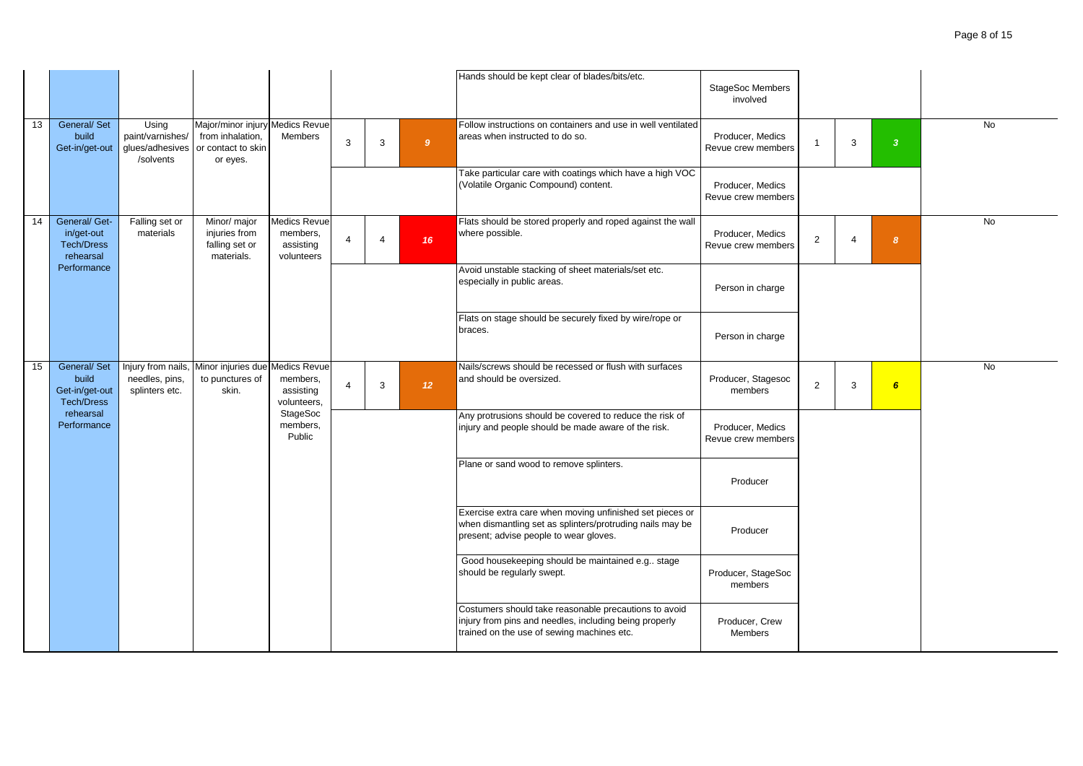|    |                                                               |                                                           |                                                                                       |                                                            |                |                          |                 |                             | Hands should be kept clear of blades/bits/etc.                                                                                                                  | <b>StageSoc Members</b><br>involved    |                |                |                         |           |
|----|---------------------------------------------------------------|-----------------------------------------------------------|---------------------------------------------------------------------------------------|------------------------------------------------------------|----------------|--------------------------|-----------------|-----------------------------|-----------------------------------------------------------------------------------------------------------------------------------------------------------------|----------------------------------------|----------------|----------------|-------------------------|-----------|
| 13 | General/ Set<br>build<br>Get-in/get-out                       | Using<br>paint/varnishes/<br>glues/adhesives<br>/solvents | Major/minor injury Medics Revue<br>from inhalation,<br>or contact to skin<br>or eyes. | <b>Members</b>                                             | 3              | $\mathbf{3}$             | 9 <sup>°</sup>  |                             | Follow instructions on containers and use in well ventilated<br>areas when instructed to do so.                                                                 | Producer, Medics<br>Revue crew members |                | 3              | $\overline{\mathbf{3}}$ | No        |
|    |                                                               |                                                           |                                                                                       |                                                            |                |                          |                 |                             | Take particular care with coatings which have a high VOC<br>(Volatile Organic Compound) content.                                                                | Producer, Medics<br>Revue crew members |                |                |                         |           |
| 14 | General/ Get-<br>in/get-out<br><b>Tech/Dress</b><br>rehearsal | Falling set or<br>materials                               | Minor/ major<br>injuries from<br>falling set or<br>materials.                         | <b>Medics Revue</b><br>members,<br>assisting<br>volunteers | $\overline{4}$ | $\boldsymbol{\varDelta}$ | 16              | where possible.             | Flats should be stored properly and roped against the wall                                                                                                      | Producer, Medics<br>Revue crew members | $\overline{2}$ | $\overline{4}$ | $\boldsymbol{8}$        | <b>No</b> |
|    | Performance                                                   |                                                           |                                                                                       |                                                            |                |                          |                 | especially in public areas. | Avoid unstable stacking of sheet materials/set etc.                                                                                                             | Person in charge                       |                |                |                         |           |
|    |                                                               |                                                           |                                                                                       |                                                            |                |                          |                 | braces.                     | Flats on stage should be securely fixed by wire/rope or                                                                                                         | Person in charge                       |                |                |                         |           |
| 15 | General/ Set<br>build<br>Get-in/get-out<br><b>Tech/Dress</b>  | Injury from nails,<br>needles, pins,<br>splinters etc.    | Minor injuries due Medics Revue<br>to punctures of<br>skin.                           | members,<br>assisting<br>volunteers,                       | $\overline{4}$ | 3                        | 12 <sup>°</sup> | and should be oversized.    | Nails/screws should be recessed or flush with surfaces                                                                                                          | Producer, Stagesoc<br>members          | $\overline{2}$ | 3              | $6\overline{6}$         | <b>No</b> |
|    | rehearsal<br>Performance                                      |                                                           |                                                                                       | StageSoc<br>members,<br>Public                             |                |                          |                 |                             | Any protrusions should be covered to reduce the risk of<br>injury and people should be made aware of the risk.                                                  | Producer, Medics<br>Revue crew members |                |                |                         |           |
|    |                                                               |                                                           |                                                                                       |                                                            |                |                          |                 |                             | Plane or sand wood to remove splinters.                                                                                                                         | Producer                               |                |                |                         |           |
|    |                                                               |                                                           |                                                                                       |                                                            |                |                          |                 |                             | Exercise extra care when moving unfinished set pieces or<br>when dismantling set as splinters/protruding nails may be<br>present; advise people to wear gloves. | Producer                               |                |                |                         |           |
|    |                                                               |                                                           |                                                                                       |                                                            |                |                          |                 | should be regularly swept.  | Good housekeeping should be maintained e.g., stage                                                                                                              | Producer, StageSoc<br>members          |                |                |                         |           |
|    |                                                               |                                                           |                                                                                       |                                                            |                |                          |                 |                             | Costumers should take reasonable precautions to avoid<br>injury from pins and needles, including being properly<br>trained on the use of sewing machines etc.   | Producer, Crew<br><b>Members</b>       |                |                |                         |           |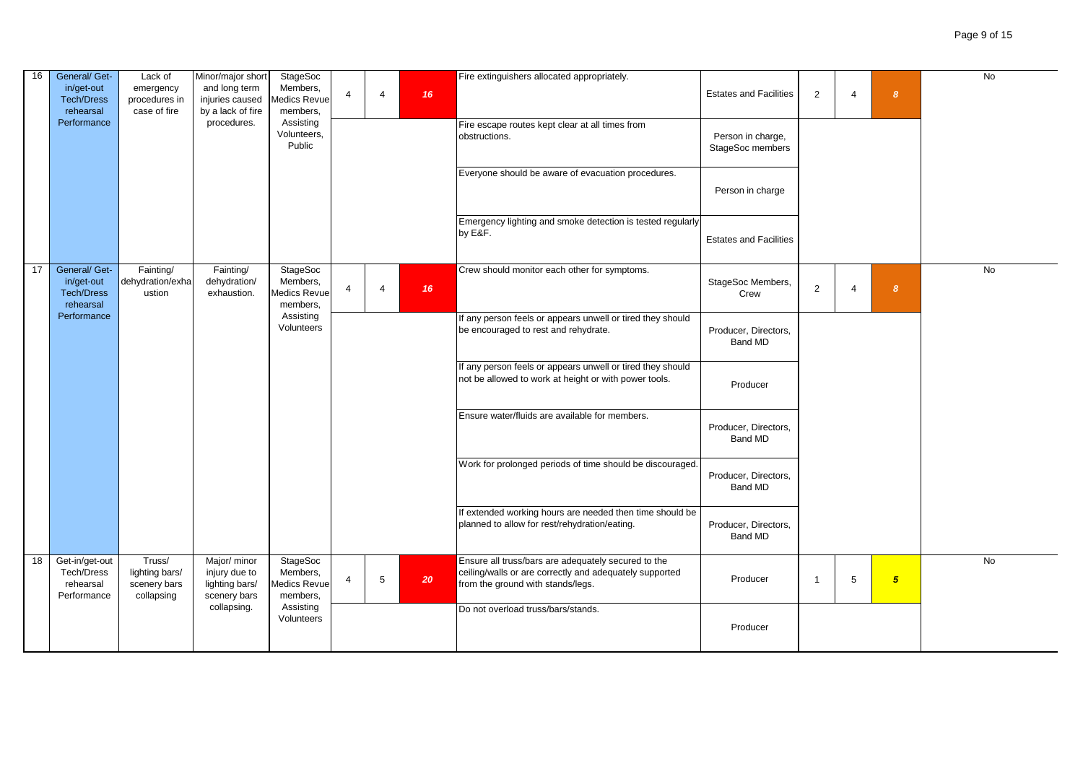| 16 | General/ Get-<br>in/get-out                                   | Lack of<br>emergency                                   | Minor/major short<br>and long term                              | <b>StageSoc</b><br>Members,                             |                          |                        |    | Fire extinguishers allocated appropriately.                                                                                                         |                                       |                |   |                | <b>No</b> |
|----|---------------------------------------------------------------|--------------------------------------------------------|-----------------------------------------------------------------|---------------------------------------------------------|--------------------------|------------------------|----|-----------------------------------------------------------------------------------------------------------------------------------------------------|---------------------------------------|----------------|---|----------------|-----------|
|    | <b>Tech/Dress</b><br>rehearsal                                | procedures in<br>case of fire                          | injuries caused<br>by a lack of fire                            | Aedics Revue<br>members,                                | $\overline{4}$           | $\boldsymbol{\Lambda}$ | 16 |                                                                                                                                                     | <b>Estates and Facilities</b>         | 2              |   | 8              |           |
|    | Performance                                                   |                                                        | procedures.                                                     | Assisting<br>Volunteers,<br>Public                      |                          |                        |    | Fire escape routes kept clear at all times from<br>obstructions.                                                                                    | Person in charge,<br>StageSoc members |                |   |                |           |
|    |                                                               |                                                        |                                                                 |                                                         |                          |                        |    | Everyone should be aware of evacuation procedures.                                                                                                  | Person in charge                      |                |   |                |           |
|    |                                                               |                                                        |                                                                 |                                                         |                          |                        |    | Emergency lighting and smoke detection is tested regularly<br>by E&F.                                                                               | <b>Estates and Facilities</b>         |                |   |                |           |
| 17 | General/ Get-<br>in/get-out<br><b>Tech/Dress</b><br>rehearsal | Fainting/<br>dehydration/exha<br>ustion                | Fainting/<br>dehydration/<br>exhaustion.                        | <b>StageSoc</b><br>Members,<br>Aedics Revue<br>members, | $\boldsymbol{\Delta}$    |                        | 16 | Crew should monitor each other for symptoms.                                                                                                        | StageSoc Members,<br>Crew             | $\overline{2}$ |   | 8              | <b>No</b> |
|    | Performance                                                   |                                                        |                                                                 | Assisting<br>Volunteers                                 |                          |                        |    | If any person feels or appears unwell or tired they should<br>be encouraged to rest and rehydrate.                                                  | Producer, Directors,<br>Band MD       |                |   |                |           |
|    |                                                               |                                                        |                                                                 |                                                         |                          |                        |    | If any person feels or appears unwell or tired they should<br>not be allowed to work at height or with power tools.                                 | Producer                              |                |   |                |           |
|    |                                                               |                                                        |                                                                 |                                                         |                          |                        |    | Ensure water/fluids are available for members.                                                                                                      | Producer, Directors,<br>Band MD       |                |   |                |           |
|    |                                                               |                                                        |                                                                 |                                                         |                          |                        |    | Work for prolonged periods of time should be discouraged.                                                                                           | Producer, Directors,<br>Band MD       |                |   |                |           |
|    |                                                               |                                                        |                                                                 |                                                         |                          |                        |    | If extended working hours are needed then time should be<br>planned to allow for rest/rehydration/eating.                                           | Producer, Directors,<br>Band MD       |                |   |                |           |
| 18 | Get-in/get-out<br>Tech/Dress<br>rehearsal<br>Performance      | Truss/<br>lighting bars/<br>scenery bars<br>collapsing | Major/ minor<br>injury due to<br>lighting bars/<br>scenery bars | StageSoc<br>Members,<br>Medics Revue<br>members,        | $\boldsymbol{\varDelta}$ | 5                      | 20 | Ensure all truss/bars are adequately secured to the<br>ceiling/walls or are correctly and adequately supported<br>from the ground with stands/legs. | Producer                              | $\overline{1}$ | 5 | 5 <sub>5</sub> | No        |
|    |                                                               |                                                        | collapsing.                                                     | Assisting<br>Volunteers                                 |                          |                        |    | Do not overload truss/bars/stands.                                                                                                                  | Producer                              |                |   |                |           |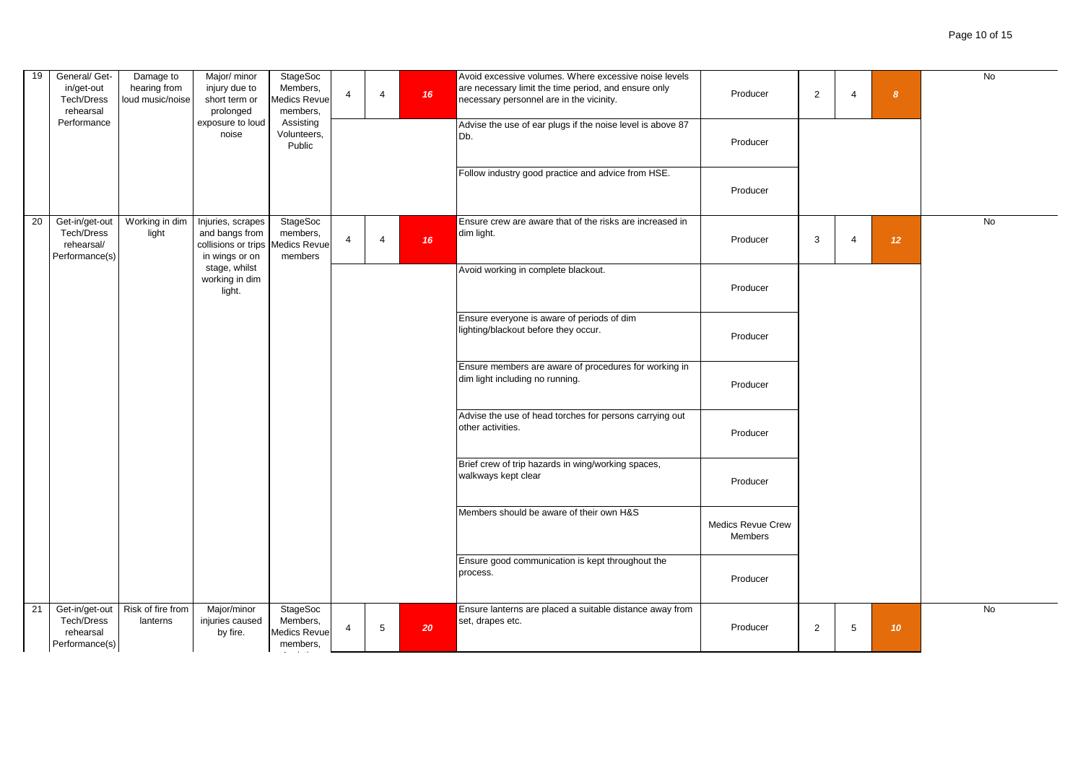| 19 | General/ Get-<br>in/get-out<br><b>Tech/Dress</b><br>rehearsal<br>Performance | Damage to<br>hearing from<br>loud music/noise | Major/ minor<br>injury due to<br>short term or<br>prolonged<br>exposure to loud<br>noise                                    | <b>StageSoc</b><br>Members,<br>Aedics Revue<br>members,<br>Assisting<br>Volunteers,<br>Public | $\overline{4}$ | $\overline{4}$  | 16 | Avoid excessive volumes. Where excessive noise levels<br>are necessary limit the time period, and ensure only<br>necessary personnel are in the vicinity.<br>Advise the use of ear plugs if the noise level is above 87<br>Db.<br>Follow industry good practice and advice from HSE. | Producer<br>Producer<br>Producer    | $\overline{2}$ | $\overline{4}$ | 8               | No        |
|----|------------------------------------------------------------------------------|-----------------------------------------------|-----------------------------------------------------------------------------------------------------------------------------|-----------------------------------------------------------------------------------------------|----------------|-----------------|----|--------------------------------------------------------------------------------------------------------------------------------------------------------------------------------------------------------------------------------------------------------------------------------------|-------------------------------------|----------------|----------------|-----------------|-----------|
| 20 | Get-in/get-out<br>Tech/Dress<br>rehearsal/<br>Performance(s)                 | Working in dim<br>light                       | Injuries, scrapes<br>and bangs from<br>collisions or trips  <br>in wings or on<br>stage, whilst<br>working in dim<br>light. | <b>StageSoc</b><br>members,<br>Aedics Revue<br>members                                        | $\overline{4}$ | $\overline{4}$  | 16 | Ensure crew are aware that of the risks are increased in<br>dim light.<br>Avoid working in complete blackout.                                                                                                                                                                        | Producer<br>Producer                | 3              | $\overline{4}$ | 12 <sup>°</sup> | <b>No</b> |
|    |                                                                              |                                               |                                                                                                                             |                                                                                               |                |                 |    | Ensure everyone is aware of periods of dim<br>lighting/blackout before they occur.                                                                                                                                                                                                   | Producer                            |                |                |                 |           |
|    |                                                                              |                                               |                                                                                                                             |                                                                                               |                |                 |    | Ensure members are aware of procedures for working in<br>dim light including no running.                                                                                                                                                                                             | Producer                            |                |                |                 |           |
|    |                                                                              |                                               |                                                                                                                             |                                                                                               |                |                 |    | Advise the use of head torches for persons carrying out<br>other activities.                                                                                                                                                                                                         | Producer                            |                |                |                 |           |
|    |                                                                              |                                               |                                                                                                                             |                                                                                               |                |                 |    | Brief crew of trip hazards in wing/working spaces,<br>walkways kept clear                                                                                                                                                                                                            | Producer                            |                |                |                 |           |
|    |                                                                              |                                               |                                                                                                                             |                                                                                               |                |                 |    | Members should be aware of their own H&S                                                                                                                                                                                                                                             | <b>Medics Revue Crew</b><br>Members |                |                |                 |           |
|    |                                                                              |                                               |                                                                                                                             |                                                                                               |                |                 |    | Ensure good communication is kept throughout the<br>process.                                                                                                                                                                                                                         | Producer                            |                |                |                 |           |
| 21 | Get-in/get-out<br>Tech/Dress<br>rehearsal<br>Performance(s)                  | Risk of fire from<br>lanterns                 | Major/minor<br>injuries caused<br>by fire.                                                                                  | StageSoc<br>Members,<br>Medics Revue<br>members,                                              | $\overline{4}$ | $5\phantom{.0}$ | 20 | Ensure lanterns are placed a suitable distance away from<br>set, drapes etc.                                                                                                                                                                                                         | Producer                            | $\overline{2}$ | 5              | 10 <sup>°</sup> | No        |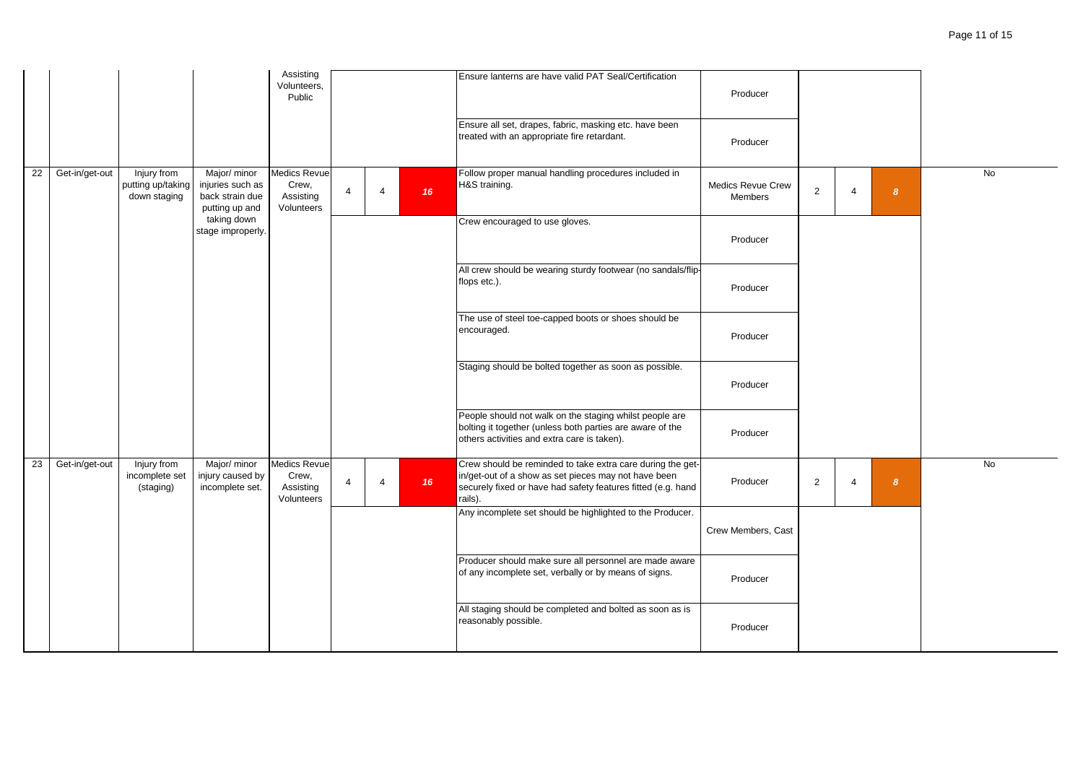|    |                |                                                  |                                                                       | Assisting<br>Volunteers,<br>Public                      |                         |                |    | Ensure lanterns are have valid PAT Seal/Certification                                                                                                                                         | Producer                            |   |                       |                  |           |
|----|----------------|--------------------------------------------------|-----------------------------------------------------------------------|---------------------------------------------------------|-------------------------|----------------|----|-----------------------------------------------------------------------------------------------------------------------------------------------------------------------------------------------|-------------------------------------|---|-----------------------|------------------|-----------|
|    |                |                                                  |                                                                       |                                                         |                         |                |    | Ensure all set, drapes, fabric, masking etc. have been<br>treated with an appropriate fire retardant.                                                                                         | Producer                            |   |                       |                  |           |
| 22 | Get-in/get-out | Injury from<br>putting up/taking<br>down staging | Major/ minor<br>injuries such as<br>back strain due<br>putting up and | <b>Medics Revue</b><br>Crew,<br>Assisting<br>Volunteers | $\overline{4}$          | $\overline{4}$ | 16 | Follow proper manual handling procedures included in<br>H&S training.                                                                                                                         | <b>Medics Revue Crew</b><br>Members | 2 | $\overline{4}$        | $\boldsymbol{8}$ | <b>No</b> |
|    |                |                                                  | taking down<br>stage improperly.                                      |                                                         |                         |                |    | Crew encouraged to use gloves.                                                                                                                                                                | Producer                            |   |                       |                  |           |
|    |                |                                                  |                                                                       |                                                         |                         |                |    | All crew should be wearing sturdy footwear (no sandals/flip-<br>flops etc.).                                                                                                                  | Producer                            |   |                       |                  |           |
|    |                |                                                  |                                                                       |                                                         |                         |                |    | The use of steel toe-capped boots or shoes should be<br>encouraged.                                                                                                                           | Producer                            |   |                       |                  |           |
|    |                |                                                  |                                                                       |                                                         |                         |                |    | Staging should be bolted together as soon as possible.                                                                                                                                        | Producer                            |   |                       |                  |           |
|    |                |                                                  |                                                                       |                                                         |                         |                |    | People should not walk on the staging whilst people are<br>bolting it together (unless both parties are aware of the<br>others activities and extra care is taken).                           | Producer                            |   |                       |                  |           |
| 23 | Get-in/get-out | Injury from<br>incomplete set<br>(staging)       | Major/ minor<br>injury caused by<br>incomplete set.                   | <b>Medics Revue</b><br>Crew,<br>Assisting<br>Volunteers | $\overline{\mathbf{A}}$ | $\overline{4}$ | 16 | Crew should be reminded to take extra care during the get-<br>in/get-out of a show as set pieces may not have been<br>securely fixed or have had safety features fitted (e.g. hand<br>rails). | Producer                            | 2 | $\boldsymbol{\Delta}$ | $\boldsymbol{8}$ | <b>No</b> |
|    |                |                                                  |                                                                       |                                                         |                         |                |    | Any incomplete set should be highlighted to the Producer.                                                                                                                                     | Crew Members, Cast                  |   |                       |                  |           |
|    |                |                                                  |                                                                       |                                                         |                         |                |    | Producer should make sure all personnel are made aware<br>of any incomplete set, verbally or by means of signs.                                                                               | Producer                            |   |                       |                  |           |
|    |                |                                                  |                                                                       |                                                         |                         |                |    | All staging should be completed and bolted as soon as is<br>reasonably possible.                                                                                                              | Producer                            |   |                       |                  |           |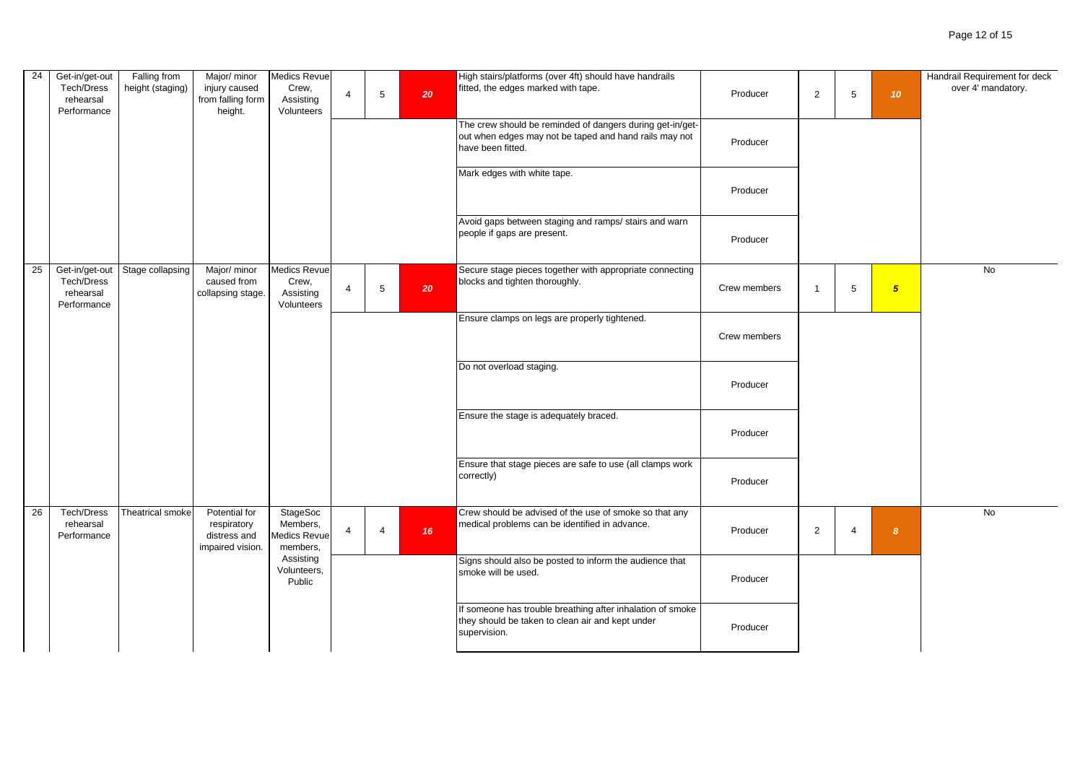| 24 | Get-in/get-out<br>Tech/Dress<br>rehearsal<br>Performance | Falling from<br>height (staging) | Major/ minor<br>injury caused<br>from falling form<br>height.    | <b>Medics Revue</b><br>Crew,<br>Assisting<br>Volunteers | $\overline{\mathbf{4}}$ | $5\phantom{.0}$       | 20 | High stairs/platforms (over 4ft) should have handrails<br>fitted, the edges marked with tape.                                            | Producer     | 2              | $\,$ 5 $\,$    | 10 <sup>1</sup>  | Handrail Requirement for deck<br>over 4' mandatory. |
|----|----------------------------------------------------------|----------------------------------|------------------------------------------------------------------|---------------------------------------------------------|-------------------------|-----------------------|----|------------------------------------------------------------------------------------------------------------------------------------------|--------------|----------------|----------------|------------------|-----------------------------------------------------|
|    |                                                          |                                  |                                                                  |                                                         |                         |                       |    | The crew should be reminded of dangers during get-in/get-<br>out when edges may not be taped and hand rails may not<br>have been fitted. | Producer     |                |                |                  |                                                     |
|    |                                                          |                                  |                                                                  |                                                         |                         |                       |    | Mark edges with white tape.                                                                                                              | Producer     |                |                |                  |                                                     |
|    |                                                          |                                  |                                                                  |                                                         |                         |                       |    | Avoid gaps between staging and ramps/ stairs and warn<br>people if gaps are present.                                                     | Producer     |                |                |                  |                                                     |
| 25 | Get-in/get-out<br>Tech/Dress<br>rehearsal<br>Performance | Stage collapsing                 | Major/ minor<br>caused from<br>collapsing stage.                 | <b>Medics Revue</b><br>Crew,<br>Assisting<br>Volunteers | $\overline{4}$          | $5\phantom{.0}$       | 20 | Secure stage pieces together with appropriate connecting<br>blocks and tighten thoroughly.                                               | Crew members | $\overline{1}$ | 5              | 5 <sub>5</sub>   | No                                                  |
|    |                                                          |                                  |                                                                  |                                                         |                         |                       |    | Ensure clamps on legs are properly tightened.                                                                                            | Crew members |                |                |                  |                                                     |
|    |                                                          |                                  |                                                                  |                                                         |                         |                       |    | Do not overload staging.                                                                                                                 | Producer     |                |                |                  |                                                     |
|    |                                                          |                                  |                                                                  |                                                         |                         |                       |    | Ensure the stage is adequately braced.                                                                                                   | Producer     |                |                |                  |                                                     |
|    |                                                          |                                  |                                                                  |                                                         |                         |                       |    | Ensure that stage pieces are safe to use (all clamps work<br>correctly)                                                                  | Producer     |                |                |                  |                                                     |
| 26 | Tech/Dress<br>rehearsal<br>Performance                   | Theatrical smoke                 | Potential for<br>respiratory<br>distress and<br>impaired vision. | StageSoc<br>Members,<br>Medics Revue<br>members,        | $\Delta$                | $\boldsymbol{\Delta}$ | 16 | Crew should be advised of the use of smoke so that any<br>medical problems can be identified in advance.                                 | Producer     | 2              | $\overline{4}$ | $\boldsymbol{8}$ | No                                                  |
|    |                                                          |                                  |                                                                  | Assisting<br>Volunteers,<br>Public                      |                         |                       |    | Signs should also be posted to inform the audience that<br>smoke will be used.                                                           | Producer     |                |                |                  |                                                     |
|    |                                                          |                                  |                                                                  |                                                         |                         |                       |    | If someone has trouble breathing after inhalation of smoke<br>they should be taken to clean air and kept under<br>supervision.           | Producer     |                |                |                  |                                                     |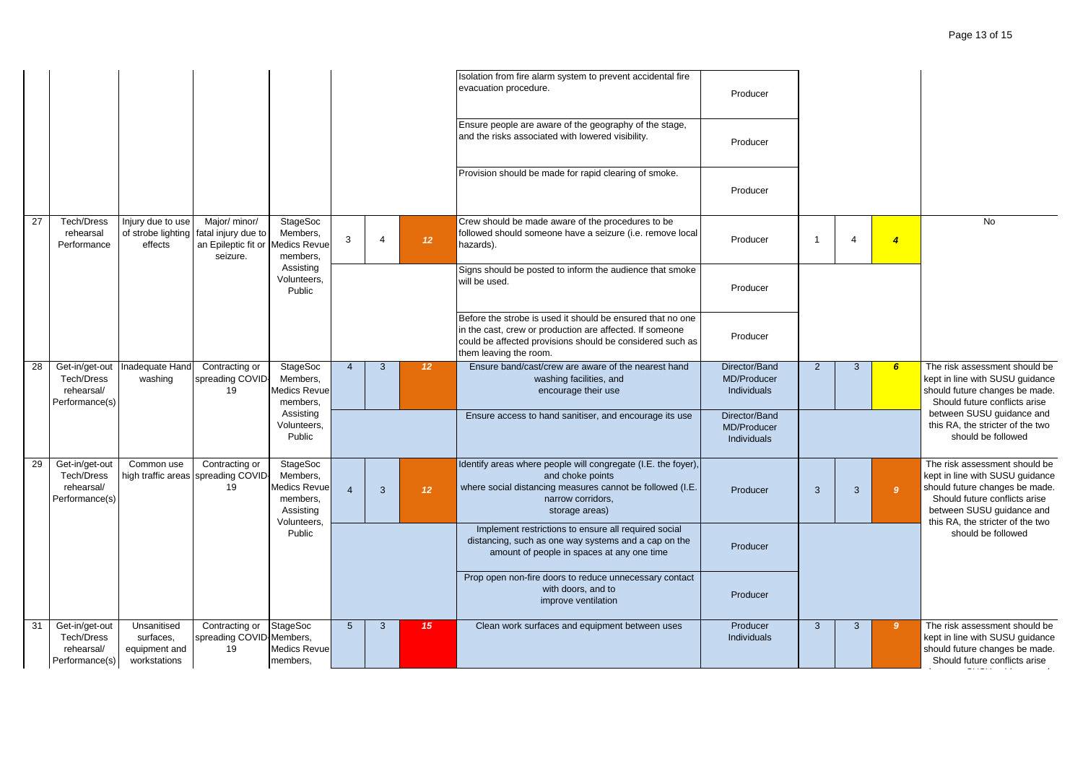|    |                                                                     |                                                           |                                                                                      |                                                                              |                 |                         |                 | Isolation from fire alarm system to prevent accidental fire<br>evacuation procedure.                                                                                                                          | Producer                                    |                |                |                |                                                                                                                                                                                                      |
|----|---------------------------------------------------------------------|-----------------------------------------------------------|--------------------------------------------------------------------------------------|------------------------------------------------------------------------------|-----------------|-------------------------|-----------------|---------------------------------------------------------------------------------------------------------------------------------------------------------------------------------------------------------------|---------------------------------------------|----------------|----------------|----------------|------------------------------------------------------------------------------------------------------------------------------------------------------------------------------------------------------|
|    |                                                                     |                                                           |                                                                                      |                                                                              |                 |                         |                 | Ensure people are aware of the geography of the stage,<br>and the risks associated with lowered visibility.                                                                                                   | Producer                                    |                |                |                |                                                                                                                                                                                                      |
|    |                                                                     |                                                           |                                                                                      |                                                                              |                 |                         |                 | Provision should be made for rapid clearing of smoke.                                                                                                                                                         | Producer                                    |                |                |                |                                                                                                                                                                                                      |
| 27 | <b>Tech/Dress</b><br>rehearsal<br>Performance                       | Injury due to use<br>of strobe lighting<br>effects        | Major/ minor/<br>fatal injury due to<br>an Epileptic fit or Medics Revue<br>seizure. | StageSoc<br>Members,<br>members,                                             | 3               | $\overline{\mathbf{A}}$ | 12 <sup>°</sup> | Crew should be made aware of the procedures to be<br>followed should someone have a seizure (i.e. remove local<br>hazards).                                                                                   | Producer                                    | $\overline{1}$ | $\overline{4}$ | $\overline{4}$ | <b>No</b>                                                                                                                                                                                            |
|    |                                                                     |                                                           |                                                                                      | Assisting<br>Volunteers,<br>Public                                           |                 |                         |                 | Signs should be posted to inform the audience that smoke<br>will be used.                                                                                                                                     | Producer                                    |                |                |                |                                                                                                                                                                                                      |
|    |                                                                     |                                                           |                                                                                      |                                                                              |                 |                         |                 | Before the strobe is used it should be ensured that no one<br>in the cast, crew or production are affected. If someone<br>could be affected provisions should be considered such as<br>them leaving the room. | Producer                                    |                |                |                |                                                                                                                                                                                                      |
| 28 | Get-in/get-out<br>Tech/Dress<br>rehearsal/<br>Performance(s)        | Inadequate Hand<br>washing                                | Contracting or<br>spreading COVID-<br>19                                             | <b>StageSoc</b><br>Members,<br>Medics Revue<br>members,                      | $\overline{4}$  | 3                       | 12 <sup>7</sup> | Ensure band/cast/crew are aware of the nearest hand<br>washing facilities, and<br>encourage their use                                                                                                         | Director/Band<br>MD/Producer<br>Individuals | 2              | $\mathbf{3}$   | 6 <sup>1</sup> | The risk assessment should be<br>kept in line with SUSU guidance<br>should future changes be made.<br>Should future conflicts arise                                                                  |
|    |                                                                     |                                                           |                                                                                      | Assisting<br>Volunteers,<br>Public                                           |                 |                         |                 | Ensure access to hand sanitiser, and encourage its use                                                                                                                                                        | Director/Band<br>MD/Producer<br>Individuals |                |                |                | between SUSU guidance and<br>this RA, the stricter of the two<br>should be followed                                                                                                                  |
| 29 | Get-in/get-out<br><b>Tech/Dress</b><br>rehearsal/<br>Performance(s) | Common use<br>high traffic areas                          | Contracting or<br>spreading COVID-<br>19                                             | StageSoc<br>Members.<br>Medics Revue<br>members,<br>Assisting<br>Volunteers, | $\overline{4}$  | 3                       | 12 <sup>°</sup> | Identify areas where people will congregate (I.E. the foyer),<br>and choke points<br>where social distancing measures cannot be followed (I.E.<br>narrow corridors,<br>storage areas)                         | Producer                                    | $\overline{3}$ | 3              | 9 <sup>°</sup> | The risk assessment should be<br>kept in line with SUSU guidance<br>should future changes be made.<br>Should future conflicts arise<br>between SUSU guidance and<br>this RA, the stricter of the two |
|    |                                                                     |                                                           |                                                                                      | Public                                                                       |                 |                         |                 | Implement restrictions to ensure all required social<br>distancing, such as one way systems and a cap on the<br>amount of people in spaces at any one time                                                    | Producer                                    |                |                |                | should be followed                                                                                                                                                                                   |
|    |                                                                     |                                                           |                                                                                      |                                                                              |                 |                         |                 | Prop open non-fire doors to reduce unnecessary contact<br>with doors, and to<br>improve ventilation                                                                                                           | Producer                                    |                |                |                |                                                                                                                                                                                                      |
| 31 | Get-in/get-out<br><b>Tech/Dress</b><br>rehearsal/<br>Performance(s) | Unsanitised<br>surfaces,<br>equipment and<br>workstations | Contracting or<br>spreading COVID-Members,<br>19                                     | <b>StageSoc</b><br><b>Medics Revue</b><br>members,                           | $5\overline{5}$ | 3                       | 15              | Clean work surfaces and equipment between uses                                                                                                                                                                | Producer<br><b>Individuals</b>              | $\mathbf{3}$   | $\mathbf{3}$   | $\mathbf{9}$   | The risk assessment should be<br>kept in line with SUSU guidance<br>should future changes be made.<br>Should future conflicts arise                                                                  |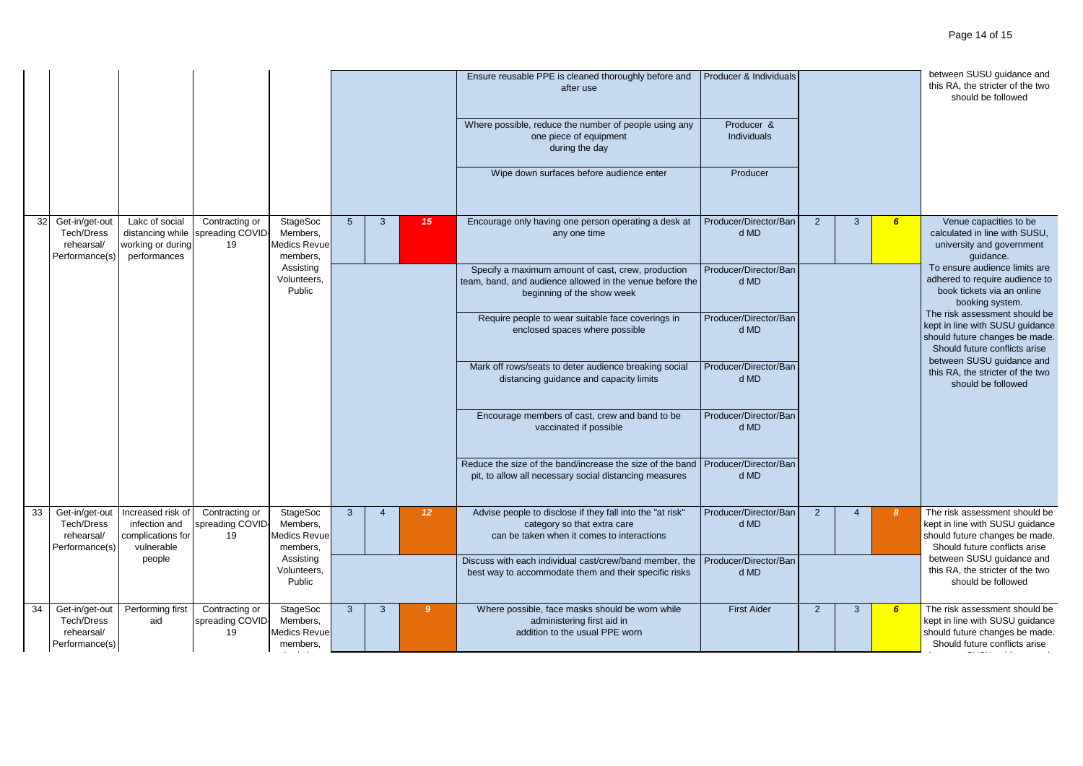|    |                                                              |                                                                         |                                          |                                                         |   |                |                 | Ensure reusable PPE is cleaned thoroughly before and<br>after use<br>Where possible, reduce the number of people using any<br>one piece of equipment<br>during the day<br>Wipe down surfaces before audience enter | Producer & Individuals<br>Producer &<br>Individuals<br>Producer |                |                |                                                                                                                  | between SUSU guidance and<br>this RA, the stricter of the two<br>should be followed                                                                              |
|----|--------------------------------------------------------------|-------------------------------------------------------------------------|------------------------------------------|---------------------------------------------------------|---|----------------|-----------------|--------------------------------------------------------------------------------------------------------------------------------------------------------------------------------------------------------------------|-----------------------------------------------------------------|----------------|----------------|------------------------------------------------------------------------------------------------------------------|------------------------------------------------------------------------------------------------------------------------------------------------------------------|
| 32 | Get-in/get-out<br>Tech/Dress<br>rehearsal/<br>Performance(s) | Lakc of social<br>distancing while<br>working or during<br>performances | Contracting or<br>spreading COVID-<br>19 | StageSoc<br>Members,<br>Medics Revue<br>members,        | 5 | 3              | 15              | Encourage only having one person operating a desk at<br>any one time                                                                                                                                               | Producer/Director/Ban<br>d MD                                   | $\overline{2}$ | $\mathbf{3}$   | 6 <sup>1</sup>                                                                                                   | Venue capacities to be<br>calculated in line with SUSU,<br>university and government<br>guidance.                                                                |
|    |                                                              |                                                                         |                                          | Assisting<br>Volunteers,<br>Public                      |   |                |                 | Specify a maximum amount of cast, crew, production<br>team, band, and audience allowed in the venue before the<br>beginning of the show week                                                                       | Producer/Director/Ban<br>d MD                                   |                |                | To ensure audience limits are<br>adhered to require audience to<br>book tickets via an online<br>booking system. |                                                                                                                                                                  |
|    |                                                              |                                                                         |                                          |                                                         |   |                |                 | Require people to wear suitable face coverings in<br>enclosed spaces where possible                                                                                                                                | Producer/Director/Ban<br>d MD                                   |                |                |                                                                                                                  | The risk assessment should be<br>kept in line with SUSU guidance<br>should future changes be made.<br>Should future conflicts arise<br>between SUSU guidance and |
|    |                                                              |                                                                         |                                          |                                                         |   |                |                 | Mark off rows/seats to deter audience breaking social<br>distancing guidance and capacity limits                                                                                                                   | Producer/Director/Ban<br>d MD                                   |                |                |                                                                                                                  | this RA, the stricter of the two<br>should be followed                                                                                                           |
|    |                                                              |                                                                         |                                          |                                                         |   |                |                 | Encourage members of cast, crew and band to be<br>vaccinated if possible                                                                                                                                           | Producer/Director/Ban<br>d MD                                   |                |                |                                                                                                                  |                                                                                                                                                                  |
|    |                                                              |                                                                         |                                          |                                                         |   |                |                 | Reduce the size of the band/increase the size of the band<br>pit, to allow all necessary social distancing measures                                                                                                | Producer/Director/Ban<br>d MD                                   |                |                |                                                                                                                  |                                                                                                                                                                  |
| 33 | Get-in/get-out<br>Tech/Dress<br>rehearsal/<br>Performance(s) | Increased risk of<br>infection and<br>complications for<br>vulnerable   | Contracting or<br>spreading COVID-<br>19 | <b>StageSoc</b><br>Members,<br>Medics Revue<br>members. | 3 | $\overline{4}$ | 12 <sup>2</sup> | Advise people to disclose if they fall into the "at risk"<br>category so that extra care<br>can be taken when it comes to interactions                                                                             | Producer/Director/Ban<br>d MD                                   | 2              | $\overline{4}$ | -8                                                                                                               | The risk assessment should be<br>kept in line with SUSU guidance<br>should future changes be made.<br>Should future conflicts arise                              |
|    |                                                              | people                                                                  |                                          | Assisting<br>Volunteers,<br>Public                      |   |                |                 | Discuss with each individual cast/crew/band member, the<br>best way to accommodate them and their specific risks                                                                                                   | Producer/Director/Ban<br>d MD                                   |                |                |                                                                                                                  | between SUSU guidance and<br>this RA, the stricter of the two<br>should be followed                                                                              |
| 34 | Get-in/get-out<br>Tech/Dress<br>rehearsal/<br>Performance(s) | Performing first<br>aid                                                 | Contracting or<br>spreading COVID-<br>19 | <b>StageSoc</b><br>Members,<br>Medics Revue<br>members, | 3 | 3              | 9 <sup>°</sup>  | Where possible, face masks should be worn while<br>administering first aid in<br>addition to the usual PPE worn                                                                                                    | <b>First Aider</b>                                              | $\overline{2}$ | $\mathbf{3}$   | $6\overline{6}$                                                                                                  | The risk assessment should be<br>kept in line with SUSU guidance<br>should future changes be made.<br>Should future conflicts arise                              |